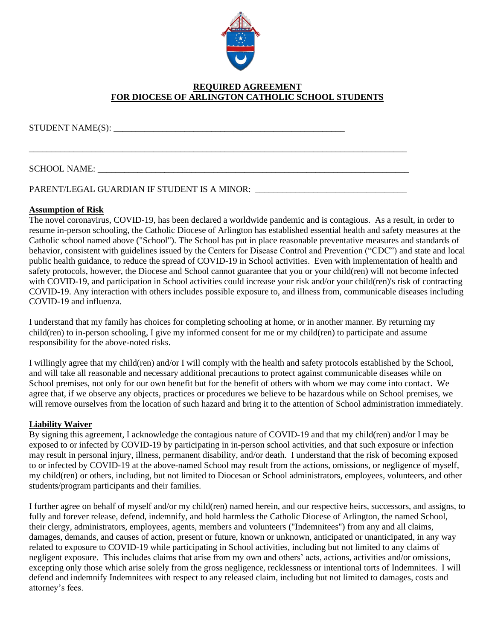

# **REQUIRED AGREEMENT FOR DIOCESE OF ARLINGTON CATHOLIC SCHOOL STUDENTS**

\_\_\_\_\_\_\_\_\_\_\_\_\_\_\_\_\_\_\_\_\_\_\_\_\_\_\_\_\_\_\_\_\_\_\_\_\_\_\_\_\_\_\_\_\_\_\_\_\_\_\_\_\_\_\_\_\_\_\_\_\_\_\_\_\_\_\_\_\_\_\_\_\_\_\_\_\_\_\_\_\_\_\_\_\_

 $STUDENT NAME(S):$ 

### SCHOOL NAME:

PARENT/LEGAL GUARDIAN IF STUDENT IS A MINOR:

#### **Assumption of Risk**

The novel coronavirus, COVID-19, has been declared a worldwide pandemic and is contagious. As a result, in order to resume in-person schooling, the Catholic Diocese of Arlington has established essential health and safety measures at the Catholic school named above ("School"). The School has put in place reasonable preventative measures and standards of behavior, consistent with guidelines issued by the Centers for Disease Control and Prevention ("CDC") and state and local public health guidance, to reduce the spread of COVID-19 in School activities. Even with implementation of health and safety protocols, however, the Diocese and School cannot guarantee that you or your child(ren) will not become infected with COVID-19, and participation in School activities could increase your risk and/or your child(ren)'s risk of contracting COVID-19. Any interaction with others includes possible exposure to, and illness from, communicable diseases including COVID-19 and influenza.

I understand that my family has choices for completing schooling at home, or in another manner. By returning my child(ren) to in-person schooling, I give my informed consent for me or my child(ren) to participate and assume responsibility for the above-noted risks.

I willingly agree that my child(ren) and/or I will comply with the health and safety protocols established by the School, and will take all reasonable and necessary additional precautions to protect against communicable diseases while on School premises, not only for our own benefit but for the benefit of others with whom we may come into contact. We agree that, if we observe any objects, practices or procedures we believe to be hazardous while on School premises, we will remove ourselves from the location of such hazard and bring it to the attention of School administration immediately.

### **Liability Waiver**

By signing this agreement, I acknowledge the contagious nature of COVID-19 and that my child(ren) and/or I may be exposed to or infected by COVID-19 by participating in in-person school activities, and that such exposure or infection may result in personal injury, illness, permanent disability, and/or death. I understand that the risk of becoming exposed to or infected by COVID-19 at the above-named School may result from the actions, omissions, or negligence of myself, my child(ren) or others, including, but not limited to Diocesan or School administrators, employees, volunteers, and other students/program participants and their families.

I further agree on behalf of myself and/or my child(ren) named herein, and our respective heirs, successors, and assigns, to fully and forever release, defend, indemnify, and hold harmless the Catholic Diocese of Arlington, the named School, their clergy, administrators, employees, agents, members and volunteers ("Indemnitees") from any and all claims, damages, demands, and causes of action, present or future, known or unknown, anticipated or unanticipated, in any way related to exposure to COVID-19 while participating in School activities, including but not limited to any claims of negligent exposure. This includes claims that arise from my own and others' acts, actions, activities and/or omissions, excepting only those which arise solely from the gross negligence, recklessness or intentional torts of Indemnitees. I will defend and indemnify Indemnitees with respect to any released claim, including but not limited to damages, costs and attorney's fees.